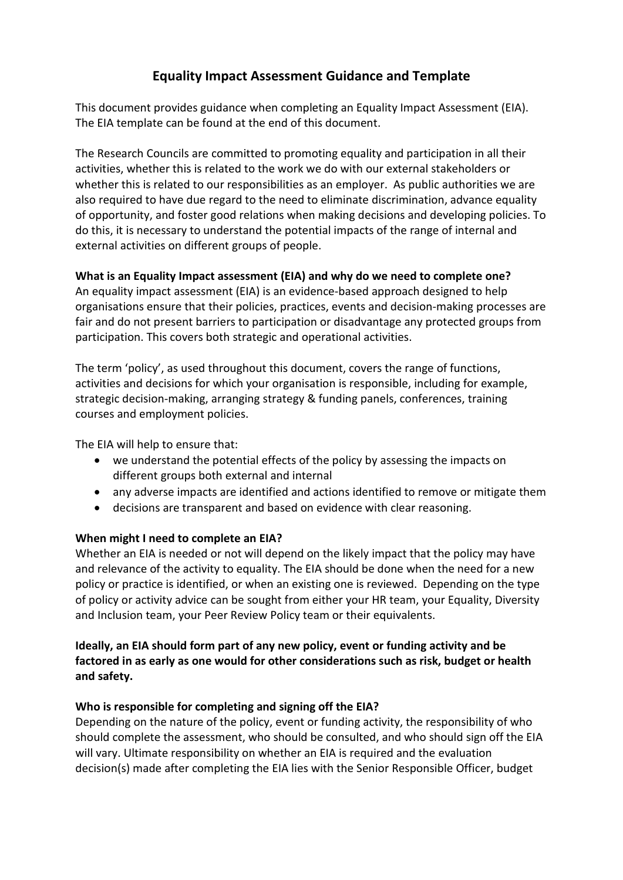# **Equality Impact Assessment Guidance and Template**

This document provides guidance when completing an Equality Impact Assessment (EIA). The EIA template can be found at the end of this document.

The Research Councils are committed to promoting equality and participation in all their activities, whether this is related to the work we do with our external stakeholders or whether this is related to our responsibilities as an employer. As public authorities we are also required to have due regard to the need to eliminate discrimination, advance equality of opportunity, and foster good relations when making decisions and developing policies. To do this, it is necessary to understand the potential impacts of the range of internal and external activities on different groups of people.

# **What is an Equality Impact assessment (EIA) and why do we need to complete one?**

An equality impact assessment (EIA) is an evidence-based approach designed to help organisations ensure that their policies, practices, events and decision-making processes are fair and do not present barriers to participation or disadvantage any protected groups from participation. This covers both strategic and operational activities.

The term 'policy', as used throughout this document, covers the range of functions, activities and decisions for which your organisation is responsible, including for example, strategic decision-making, arranging strategy & funding panels, conferences, training courses and employment policies.

The EIA will help to ensure that:

- we understand the potential effects of the policy by assessing the impacts on different groups both external and internal
- any adverse impacts are identified and actions identified to remove or mitigate them
- decisions are transparent and based on evidence with clear reasoning.

#### **When might I need to complete an EIA?**

Whether an EIA is needed or not will depend on the likely impact that the policy may have and relevance of the activity to equality. The EIA should be done when the need for a new policy or practice is identified, or when an existing one is reviewed. Depending on the type of policy or activity advice can be sought from either your HR team, your Equality, Diversity and Inclusion team, your Peer Review Policy team or their equivalents.

# **Ideally, an EIA should form part of any new policy, event or funding activity and be factored in as early as one would for other considerations such as risk, budget or health and safety.**

# **Who is responsible for completing and signing off the EIA?**

Depending on the nature of the policy, event or funding activity, the responsibility of who should complete the assessment, who should be consulted, and who should sign off the EIA will vary. Ultimate responsibility on whether an EIA is required and the evaluation decision(s) made after completing the EIA lies with the Senior Responsible Officer, budget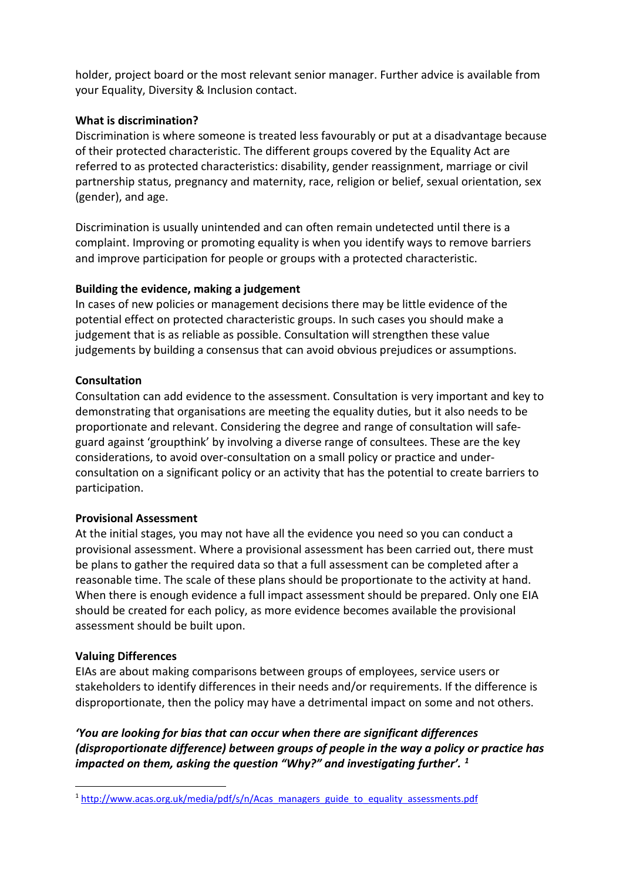holder, project board or the most relevant senior manager. Further advice is available from your Equality, Diversity & Inclusion contact.

### **What is discrimination?**

Discrimination is where someone is treated less favourably or put at a disadvantage because of their protected characteristic. The different groups covered by the Equality Act are referred to as protected characteristics: disability, gender reassignment, marriage or civil partnership status, pregnancy and maternity, race, religion or belief, sexual orientation, sex (gender), and age.

Discrimination is usually unintended and can often remain undetected until there is a complaint. Improving or promoting equality is when you identify ways to remove barriers and improve participation for people or groups with a protected characteristic.

### **Building the evidence, making a judgement**

In cases of new policies or management decisions there may be little evidence of the potential effect on protected characteristic groups. In such cases you should make a judgement that is as reliable as possible. Consultation will strengthen these value judgements by building a consensus that can avoid obvious prejudices or assumptions.

### **Consultation**

Consultation can add evidence to the assessment. Consultation is very important and key to demonstrating that organisations are meeting the equality duties, but it also needs to be proportionate and relevant. Considering the degree and range of consultation will safeguard against 'groupthink' by involving a diverse range of consultees. These are the key considerations, to avoid over-consultation on a small policy or practice and underconsultation on a significant policy or an activity that has the potential to create barriers to participation.

#### **Provisional Assessment**

At the initial stages, you may not have all the evidence you need so you can conduct a provisional assessment. Where a provisional assessment has been carried out, there must be plans to gather the required data so that a full assessment can be completed after a reasonable time. The scale of these plans should be proportionate to the activity at hand. When there is enough evidence a full impact assessment should be prepared. Only one EIA should be created for each policy, as more evidence becomes available the provisional assessment should be built upon.

#### **Valuing Differences**

EIAs are about making comparisons between groups of employees, service users or stakeholders to identify differences in their needs and/or requirements. If the difference is disproportionate, then the policy may have a detrimental impact on some and not others.

*'You are looking for bias that can occur when there are significant differences (disproportionate difference) between groups of people in the way a policy or practice has impacted on them, asking the question "Why?" and investigating further'. [1](#page-1-0)*

<span id="page-1-0"></span><sup>&</sup>lt;sup>1</sup> [http://www.acas.org.uk/media/pdf/s/n/Acas\\_managers\\_guide\\_to\\_equality\\_assessments.pdf](http://www.acas.org.uk/media/pdf/s/n/Acas_managers_guide_to_equality_assessments.pdf)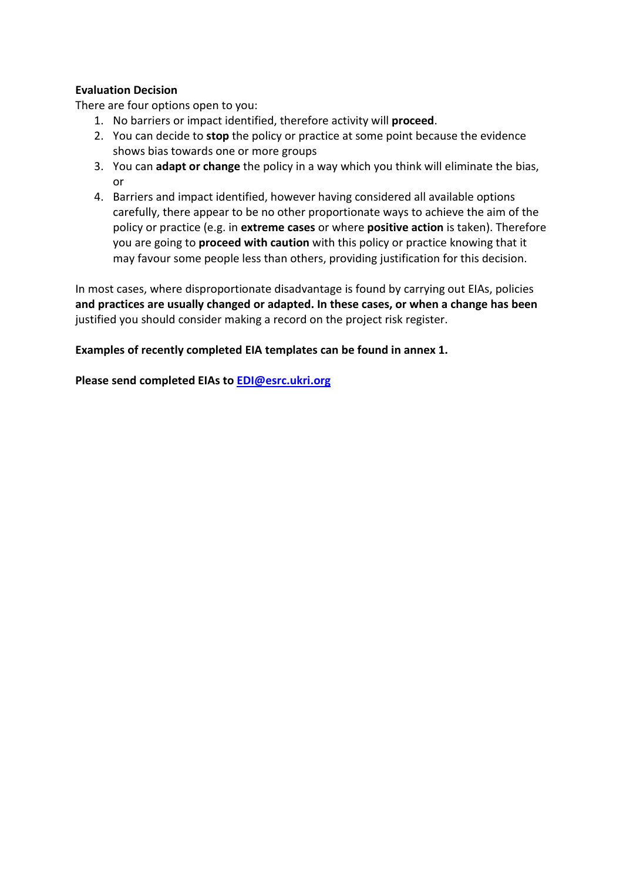# **Evaluation Decision**

There are four options open to you:

- 1. No barriers or impact identified, therefore activity will **proceed**.
- 2. You can decide to **stop** the policy or practice at some point because the evidence shows bias towards one or more groups
- 3. You can **adapt or change** the policy in a way which you think will eliminate the bias, or
- 4. Barriers and impact identified, however having considered all available options carefully, there appear to be no other proportionate ways to achieve the aim of the policy or practice (e.g. in **extreme cases** or where **positive action** is taken). Therefore you are going to **proceed with caution** with this policy or practice knowing that it may favour some people less than others, providing justification for this decision.

In most cases, where disproportionate disadvantage is found by carrying out EIAs, policies **and practices are usually changed or adapted. In these cases, or when a change has been** justified you should consider making a record on the project risk register.

**Examples of recently completed EIA templates can be found in annex 1.**

**Please send completed EIAs to [EDI@esrc.ukri.org](mailto:EDI@esrc.ukri.org)**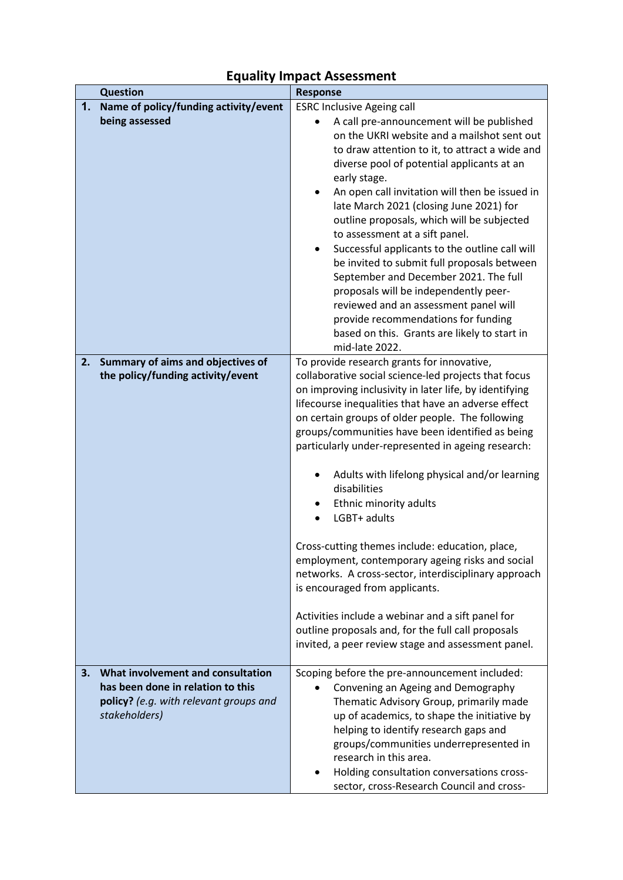# **Equality Impact Assessment**

| <b>Question</b> | <b>Response</b>                                                                                                                   |                                                                                                                                                                                                                                                                                                                                                                                                                                                                                                                                                                                                                                                                                                                                                                                                                                                                     |
|-----------------|-----------------------------------------------------------------------------------------------------------------------------------|---------------------------------------------------------------------------------------------------------------------------------------------------------------------------------------------------------------------------------------------------------------------------------------------------------------------------------------------------------------------------------------------------------------------------------------------------------------------------------------------------------------------------------------------------------------------------------------------------------------------------------------------------------------------------------------------------------------------------------------------------------------------------------------------------------------------------------------------------------------------|
| 1.              | Name of policy/funding activity/event<br>being assessed                                                                           | <b>ESRC Inclusive Ageing call</b><br>A call pre-announcement will be published<br>on the UKRI website and a mailshot sent out<br>to draw attention to it, to attract a wide and<br>diverse pool of potential applicants at an<br>early stage.<br>An open call invitation will then be issued in<br>$\bullet$<br>late March 2021 (closing June 2021) for<br>outline proposals, which will be subjected<br>to assessment at a sift panel.<br>Successful applicants to the outline call will<br>$\bullet$<br>be invited to submit full proposals between<br>September and December 2021. The full<br>proposals will be independently peer-<br>reviewed and an assessment panel will<br>provide recommendations for funding<br>based on this. Grants are likely to start in<br>mid-late 2022.                                                                           |
|                 | 2. Summary of aims and objectives of<br>the policy/funding activity/event                                                         | To provide research grants for innovative,<br>collaborative social science-led projects that focus<br>on improving inclusivity in later life, by identifying<br>lifecourse inequalities that have an adverse effect<br>on certain groups of older people. The following<br>groups/communities have been identified as being<br>particularly under-represented in ageing research:<br>Adults with lifelong physical and/or learning<br>٠<br>disabilities<br>Ethnic minority adults<br>LGBT+ adults<br>Cross-cutting themes include: education, place,<br>employment, contemporary ageing risks and social<br>networks. A cross-sector, interdisciplinary approach<br>is encouraged from applicants.<br>Activities include a webinar and a sift panel for<br>outline proposals and, for the full call proposals<br>invited, a peer review stage and assessment panel. |
| 3.              | What involvement and consultation<br>has been done in relation to this<br>policy? (e.g. with relevant groups and<br>stakeholders) | Scoping before the pre-announcement included:<br>Convening an Ageing and Demography<br>$\bullet$<br>Thematic Advisory Group, primarily made<br>up of academics, to shape the initiative by<br>helping to identify research gaps and<br>groups/communities underrepresented in<br>research in this area.<br>Holding consultation conversations cross-<br>sector, cross-Research Council and cross-                                                                                                                                                                                                                                                                                                                                                                                                                                                                   |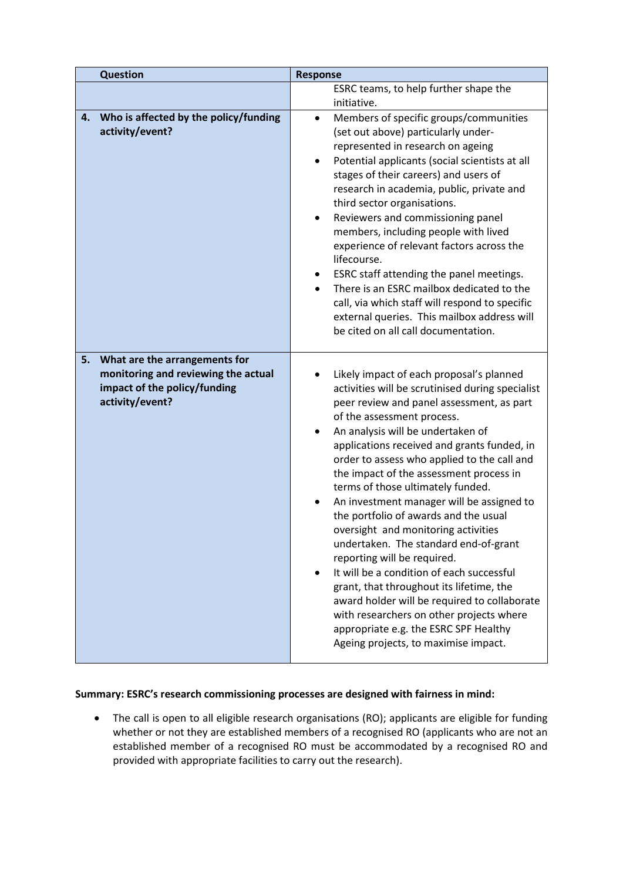| <b>Question</b>                                                                                                               | <b>Response</b>                                                                                                                                                                                                                                                                                                                                                                                                                                                                                                                                                                                                                                                                                                                                                                                                                                                       |  |
|-------------------------------------------------------------------------------------------------------------------------------|-----------------------------------------------------------------------------------------------------------------------------------------------------------------------------------------------------------------------------------------------------------------------------------------------------------------------------------------------------------------------------------------------------------------------------------------------------------------------------------------------------------------------------------------------------------------------------------------------------------------------------------------------------------------------------------------------------------------------------------------------------------------------------------------------------------------------------------------------------------------------|--|
|                                                                                                                               | ESRC teams, to help further shape the                                                                                                                                                                                                                                                                                                                                                                                                                                                                                                                                                                                                                                                                                                                                                                                                                                 |  |
|                                                                                                                               | initiative.                                                                                                                                                                                                                                                                                                                                                                                                                                                                                                                                                                                                                                                                                                                                                                                                                                                           |  |
| Who is affected by the policy/funding<br>4.<br>activity/event?                                                                | Members of specific groups/communities<br>$\bullet$<br>(set out above) particularly under-<br>represented in research on ageing<br>Potential applicants (social scientists at all<br>$\bullet$<br>stages of their careers) and users of<br>research in academia, public, private and<br>third sector organisations.<br>Reviewers and commissioning panel<br>٠<br>members, including people with lived<br>experience of relevant factors across the<br>lifecourse.<br>ESRC staff attending the panel meetings.<br>There is an ESRC mailbox dedicated to the<br>call, via which staff will respond to specific<br>external queries. This mailbox address will<br>be cited on all call documentation.                                                                                                                                                                    |  |
| 5.<br>What are the arrangements for<br>monitoring and reviewing the actual<br>impact of the policy/funding<br>activity/event? | Likely impact of each proposal's planned<br>activities will be scrutinised during specialist<br>peer review and panel assessment, as part<br>of the assessment process.<br>An analysis will be undertaken of<br>applications received and grants funded, in<br>order to assess who applied to the call and<br>the impact of the assessment process in<br>terms of those ultimately funded.<br>An investment manager will be assigned to<br>the portfolio of awards and the usual<br>oversight and monitoring activities<br>undertaken. The standard end-of-grant<br>reporting will be required.<br>It will be a condition of each successful<br>grant, that throughout its lifetime, the<br>award holder will be required to collaborate<br>with researchers on other projects where<br>appropriate e.g. the ESRC SPF Healthy<br>Ageing projects, to maximise impact. |  |

#### **Summary: ESRC's research commissioning processes are designed with fairness in mind:**

• The call is open to all eligible research organisations (RO); applicants are eligible for funding whether or not they are established members of a recognised RO (applicants who are not an established member of a recognised RO must be accommodated by a recognised RO and provided with appropriate facilities to carry out the research).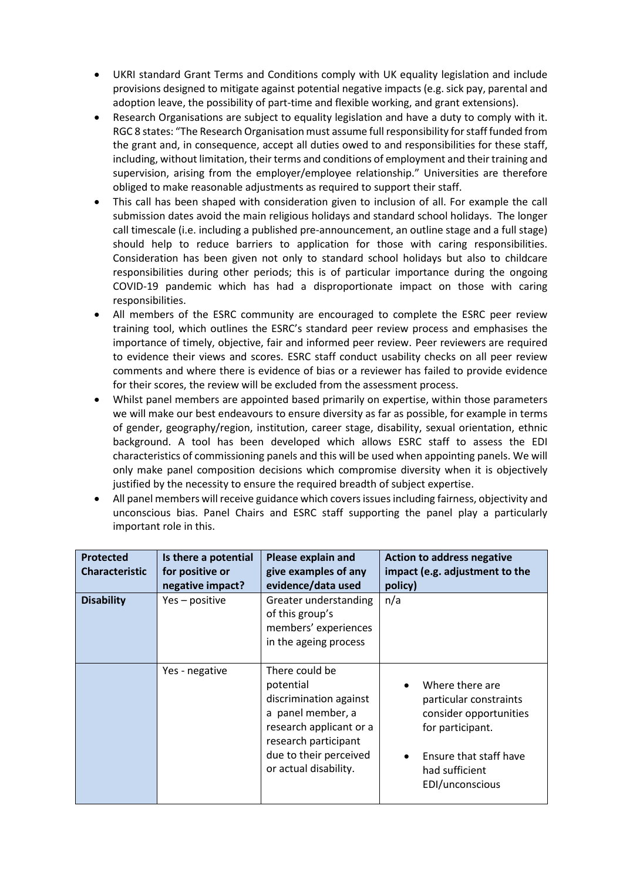- UKRI standard Grant Terms and Conditions comply with UK equality legislation and include provisions designed to mitigate against potential negative impacts (e.g. sick pay, parental and adoption leave, the possibility of part-time and flexible working, and grant extensions).
- Research Organisations are subject to equality legislation and have a duty to comply with it. RGC 8 states: "The Research Organisation must assume full responsibility for staff funded from the grant and, in consequence, accept all duties owed to and responsibilities for these staff, including, without limitation, their terms and conditions of employment and their training and supervision, arising from the employer/employee relationship." Universities are therefore obliged to make reasonable adjustments as required to support their staff.
- This call has been shaped with consideration given to inclusion of all. For example the call submission dates avoid the main religious holidays and standard school holidays. The longer call timescale (i.e. including a published pre-announcement, an outline stage and a full stage) should help to reduce barriers to application for those with caring responsibilities. Consideration has been given not only to standard school holidays but also to childcare responsibilities during other periods; this is of particular importance during the ongoing COVID-19 pandemic which has had a disproportionate impact on those with caring responsibilities.
- All members of the ESRC community are encouraged to complete the ESRC peer review training tool, which outlines the ESRC's standard peer review process and emphasises the importance of timely, objective, fair and informed peer review. Peer reviewers are required to evidence their views and scores. ESRC staff conduct usability checks on all peer review comments and where there is evidence of bias or a reviewer has failed to provide evidence for their scores, the review will be excluded from the assessment process.
- Whilst panel members are appointed based primarily on expertise, within those parameters we will make our best endeavours to ensure diversity as far as possible, for example in terms of gender, geography/region, institution, career stage, disability, sexual orientation, ethnic background. A tool has been developed which allows ESRC staff to assess the EDI characteristics of commissioning panels and this will be used when appointing panels. We will only make panel composition decisions which compromise diversity when it is objectively justified by the necessity to ensure the required breadth of subject expertise.
- All panel members will receive guidance which covers issues including fairness, objectivity and unconscious bias. Panel Chairs and ESRC staff supporting the panel play a particularly important role in this.

| <b>Protected</b><br><b>Characteristic</b> | Is there a potential<br>for positive or<br>negative impact? | Please explain and<br>give examples of any<br>evidence/data used                                                                                                                 | <b>Action to address negative</b><br>impact (e.g. adjustment to the<br>policy)                                                                         |
|-------------------------------------------|-------------------------------------------------------------|----------------------------------------------------------------------------------------------------------------------------------------------------------------------------------|--------------------------------------------------------------------------------------------------------------------------------------------------------|
| <b>Disability</b>                         | Yes - positive                                              | Greater understanding<br>of this group's<br>members' experiences<br>in the ageing process                                                                                        | n/a                                                                                                                                                    |
|                                           | Yes - negative                                              | There could be<br>potential<br>discrimination against<br>a panel member, a<br>research applicant or a<br>research participant<br>due to their perceived<br>or actual disability. | Where there are<br>particular constraints<br>consider opportunities<br>for participant.<br>Ensure that staff have<br>had sufficient<br>EDI/unconscious |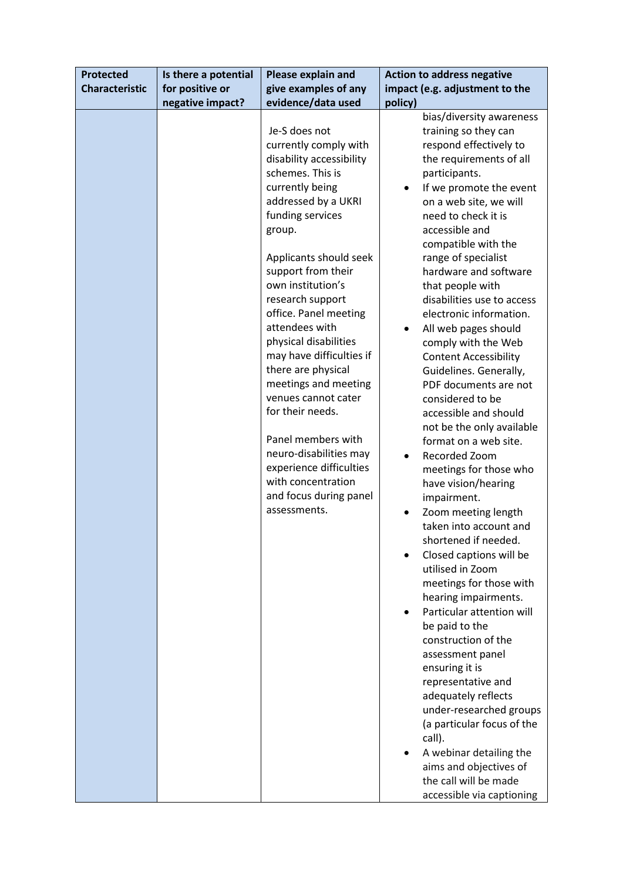| <b>Protected</b>      | Is there a potential | Please explain and                                                                                                                                                                                                                                                                                                                                                                                                                                                                                                                                                                                                | <b>Action to address negative</b>                                                                                                                                                                                                                                                                                                                                                                                                                                                                                                                                                                                                                                                                                                                                                                                                                                                                                                                                                                                                                                                                                                                                                  |
|-----------------------|----------------------|-------------------------------------------------------------------------------------------------------------------------------------------------------------------------------------------------------------------------------------------------------------------------------------------------------------------------------------------------------------------------------------------------------------------------------------------------------------------------------------------------------------------------------------------------------------------------------------------------------------------|------------------------------------------------------------------------------------------------------------------------------------------------------------------------------------------------------------------------------------------------------------------------------------------------------------------------------------------------------------------------------------------------------------------------------------------------------------------------------------------------------------------------------------------------------------------------------------------------------------------------------------------------------------------------------------------------------------------------------------------------------------------------------------------------------------------------------------------------------------------------------------------------------------------------------------------------------------------------------------------------------------------------------------------------------------------------------------------------------------------------------------------------------------------------------------|
| <b>Characteristic</b> | for positive or      | give examples of any                                                                                                                                                                                                                                                                                                                                                                                                                                                                                                                                                                                              | impact (e.g. adjustment to the                                                                                                                                                                                                                                                                                                                                                                                                                                                                                                                                                                                                                                                                                                                                                                                                                                                                                                                                                                                                                                                                                                                                                     |
|                       |                      |                                                                                                                                                                                                                                                                                                                                                                                                                                                                                                                                                                                                                   |                                                                                                                                                                                                                                                                                                                                                                                                                                                                                                                                                                                                                                                                                                                                                                                                                                                                                                                                                                                                                                                                                                                                                                                    |
|                       | negative impact?     | evidence/data used<br>Je-S does not<br>currently comply with<br>disability accessibility<br>schemes. This is<br>currently being<br>addressed by a UKRI<br>funding services<br>group.<br>Applicants should seek<br>support from their<br>own institution's<br>research support<br>office. Panel meeting<br>attendees with<br>physical disabilities<br>may have difficulties if<br>there are physical<br>meetings and meeting<br>venues cannot cater<br>for their needs.<br>Panel members with<br>neuro-disabilities may<br>experience difficulties<br>with concentration<br>and focus during panel<br>assessments. | policy)<br>bias/diversity awareness<br>training so they can<br>respond effectively to<br>the requirements of all<br>participants.<br>If we promote the event<br>on a web site, we will<br>need to check it is<br>accessible and<br>compatible with the<br>range of specialist<br>hardware and software<br>that people with<br>disabilities use to access<br>electronic information.<br>All web pages should<br>comply with the Web<br><b>Content Accessibility</b><br>Guidelines. Generally,<br>PDF documents are not<br>considered to be<br>accessible and should<br>not be the only available<br>format on a web site.<br>Recorded Zoom<br>$\bullet$<br>meetings for those who<br>have vision/hearing<br>impairment.<br>Zoom meeting length<br>taken into account and<br>shortened if needed.<br>Closed captions will be<br>utilised in Zoom<br>meetings for those with<br>hearing impairments.<br>Particular attention will<br>be paid to the<br>construction of the<br>assessment panel<br>ensuring it is<br>representative and<br>adequately reflects<br>under-researched groups<br>(a particular focus of the<br>call).<br>A webinar detailing the<br>aims and objectives of |
|                       |                      |                                                                                                                                                                                                                                                                                                                                                                                                                                                                                                                                                                                                                   | the call will be made<br>accessible via captioning                                                                                                                                                                                                                                                                                                                                                                                                                                                                                                                                                                                                                                                                                                                                                                                                                                                                                                                                                                                                                                                                                                                                 |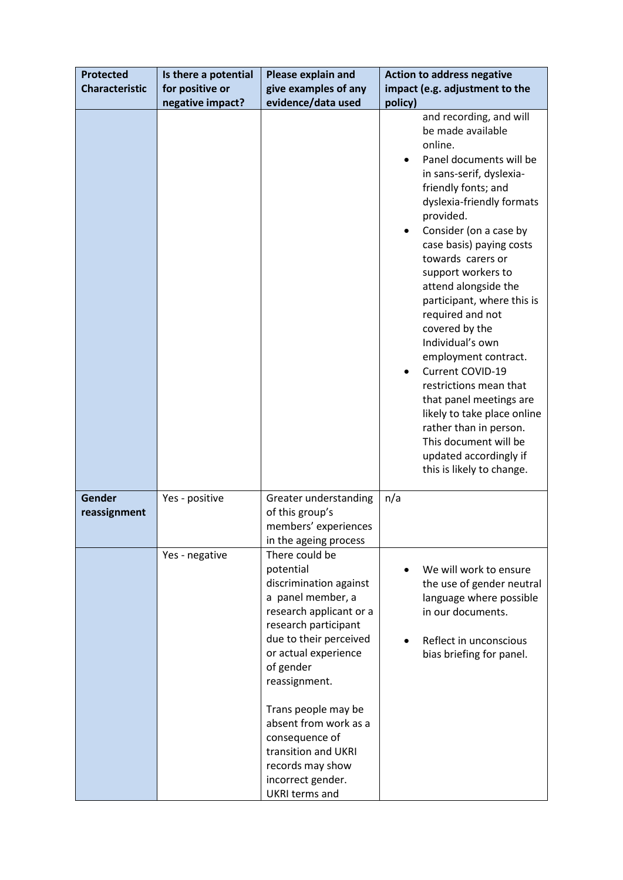| <b>Protected</b>       | Is there a potential | Please explain and                                                                                                                                                                                                                                                                                                                                                       | <b>Action to address negative</b>                                                                                                                                                                                                                                                                                                                                                                                                                                                                                                                                                                                                          |
|------------------------|----------------------|--------------------------------------------------------------------------------------------------------------------------------------------------------------------------------------------------------------------------------------------------------------------------------------------------------------------------------------------------------------------------|--------------------------------------------------------------------------------------------------------------------------------------------------------------------------------------------------------------------------------------------------------------------------------------------------------------------------------------------------------------------------------------------------------------------------------------------------------------------------------------------------------------------------------------------------------------------------------------------------------------------------------------------|
| <b>Characteristic</b>  | for positive or      | give examples of any                                                                                                                                                                                                                                                                                                                                                     | impact (e.g. adjustment to the                                                                                                                                                                                                                                                                                                                                                                                                                                                                                                                                                                                                             |
|                        | negative impact?     | evidence/data used                                                                                                                                                                                                                                                                                                                                                       | policy)                                                                                                                                                                                                                                                                                                                                                                                                                                                                                                                                                                                                                                    |
|                        |                      |                                                                                                                                                                                                                                                                                                                                                                          | and recording, and will<br>be made available<br>online.<br>Panel documents will be<br>in sans-serif, dyslexia-<br>friendly fonts; and<br>dyslexia-friendly formats<br>provided.<br>Consider (on a case by<br>case basis) paying costs<br>towards carers or<br>support workers to<br>attend alongside the<br>participant, where this is<br>required and not<br>covered by the<br>Individual's own<br>employment contract.<br>Current COVID-19<br>restrictions mean that<br>that panel meetings are<br>likely to take place online<br>rather than in person.<br>This document will be<br>updated accordingly if<br>this is likely to change. |
| Gender<br>reassignment | Yes - positive       | Greater understanding<br>of this group's<br>members' experiences<br>in the ageing process                                                                                                                                                                                                                                                                                | n/a                                                                                                                                                                                                                                                                                                                                                                                                                                                                                                                                                                                                                                        |
|                        | Yes - negative       | There could be<br>potential<br>discrimination against<br>a panel member, a<br>research applicant or a<br>research participant<br>due to their perceived<br>or actual experience<br>of gender<br>reassignment.<br>Trans people may be<br>absent from work as a<br>consequence of<br>transition and UKRI<br>records may show<br>incorrect gender.<br><b>UKRI terms and</b> | We will work to ensure<br>the use of gender neutral<br>language where possible<br>in our documents.<br>Reflect in unconscious<br>bias briefing for panel.                                                                                                                                                                                                                                                                                                                                                                                                                                                                                  |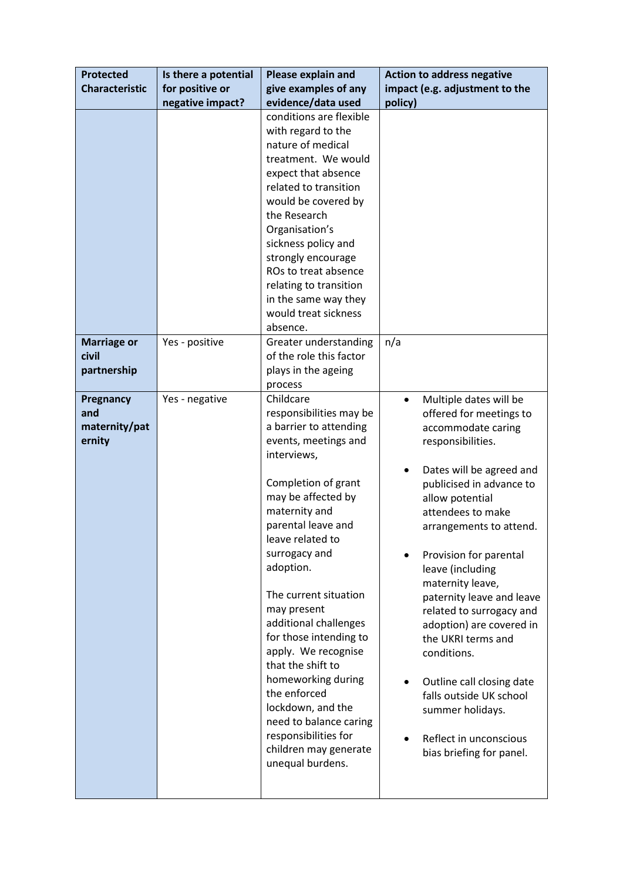| <b>Protected</b>            | Is there a potential | Please explain and                                                                                                                                                                                                                                                                                                                                                                                                                  | <b>Action to address negative</b>                                                                                                                                                                                                                                                                                                                                                                                                                                  |
|-----------------------------|----------------------|-------------------------------------------------------------------------------------------------------------------------------------------------------------------------------------------------------------------------------------------------------------------------------------------------------------------------------------------------------------------------------------------------------------------------------------|--------------------------------------------------------------------------------------------------------------------------------------------------------------------------------------------------------------------------------------------------------------------------------------------------------------------------------------------------------------------------------------------------------------------------------------------------------------------|
| <b>Characteristic</b>       | for positive or      | give examples of any                                                                                                                                                                                                                                                                                                                                                                                                                | impact (e.g. adjustment to the                                                                                                                                                                                                                                                                                                                                                                                                                                     |
|                             | negative impact?     | evidence/data used                                                                                                                                                                                                                                                                                                                                                                                                                  | policy)                                                                                                                                                                                                                                                                                                                                                                                                                                                            |
|                             |                      | conditions are flexible<br>with regard to the<br>nature of medical<br>treatment. We would<br>expect that absence<br>related to transition<br>would be covered by<br>the Research<br>Organisation's<br>sickness policy and<br>strongly encourage<br>ROs to treat absence                                                                                                                                                             |                                                                                                                                                                                                                                                                                                                                                                                                                                                                    |
|                             |                      | relating to transition                                                                                                                                                                                                                                                                                                                                                                                                              |                                                                                                                                                                                                                                                                                                                                                                                                                                                                    |
|                             |                      | in the same way they<br>would treat sickness                                                                                                                                                                                                                                                                                                                                                                                        |                                                                                                                                                                                                                                                                                                                                                                                                                                                                    |
|                             |                      | absence.                                                                                                                                                                                                                                                                                                                                                                                                                            |                                                                                                                                                                                                                                                                                                                                                                                                                                                                    |
| <b>Marriage or</b><br>civil | Yes - positive       | Greater understanding<br>of the role this factor                                                                                                                                                                                                                                                                                                                                                                                    | n/a                                                                                                                                                                                                                                                                                                                                                                                                                                                                |
| partnership                 |                      | plays in the ageing                                                                                                                                                                                                                                                                                                                                                                                                                 |                                                                                                                                                                                                                                                                                                                                                                                                                                                                    |
|                             |                      | process                                                                                                                                                                                                                                                                                                                                                                                                                             |                                                                                                                                                                                                                                                                                                                                                                                                                                                                    |
| Pregnancy                   | Yes - negative       | Childcare                                                                                                                                                                                                                                                                                                                                                                                                                           | Multiple dates will be<br>$\bullet$                                                                                                                                                                                                                                                                                                                                                                                                                                |
| and                         |                      | responsibilities may be                                                                                                                                                                                                                                                                                                                                                                                                             | offered for meetings to                                                                                                                                                                                                                                                                                                                                                                                                                                            |
| maternity/pat<br>ernity     |                      | a barrier to attending<br>events, meetings and                                                                                                                                                                                                                                                                                                                                                                                      | accommodate caring<br>responsibilities.                                                                                                                                                                                                                                                                                                                                                                                                                            |
|                             |                      | interviews,                                                                                                                                                                                                                                                                                                                                                                                                                         |                                                                                                                                                                                                                                                                                                                                                                                                                                                                    |
|                             |                      | Completion of grant<br>may be affected by<br>maternity and<br>parental leave and<br>leave related to<br>surrogacy and<br>adoption.<br>The current situation<br>may present<br>additional challenges<br>for those intending to<br>apply. We recognise<br>that the shift to<br>homeworking during<br>the enforced<br>lockdown, and the<br>need to balance caring<br>responsibilities for<br>children may generate<br>unequal burdens. | Dates will be agreed and<br>$\bullet$<br>publicised in advance to<br>allow potential<br>attendees to make<br>arrangements to attend.<br>Provision for parental<br>leave (including<br>maternity leave,<br>paternity leave and leave<br>related to surrogacy and<br>adoption) are covered in<br>the UKRI terms and<br>conditions.<br>Outline call closing date<br>falls outside UK school<br>summer holidays.<br>Reflect in unconscious<br>bias briefing for panel. |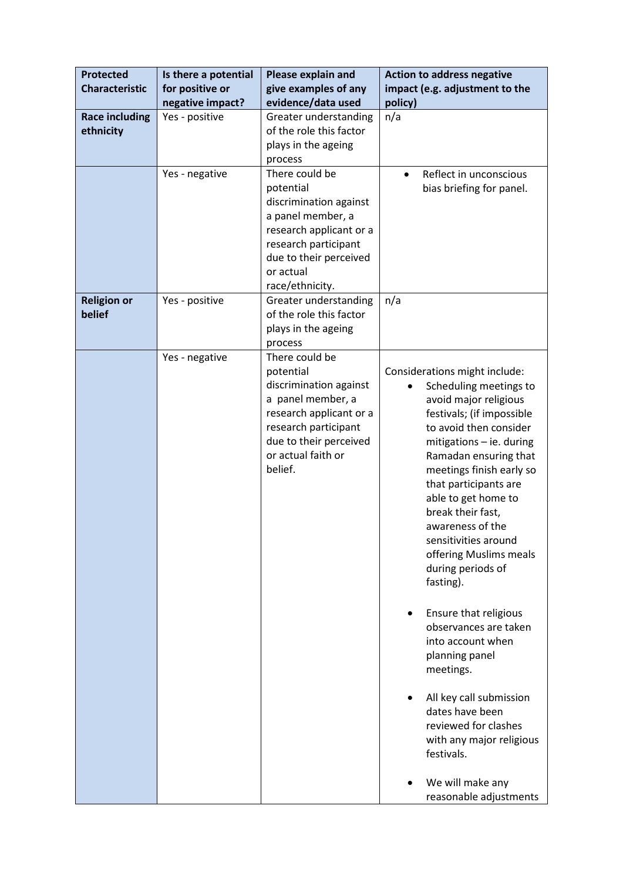| <b>Protected</b>                   | Is there a potential                | Please explain and                                                                                                                                                                       | <b>Action to address negative</b>                                                                                                                                                                                                                                                                                                                                                                                                                                                                                                                                                                                                                                         |
|------------------------------------|-------------------------------------|------------------------------------------------------------------------------------------------------------------------------------------------------------------------------------------|---------------------------------------------------------------------------------------------------------------------------------------------------------------------------------------------------------------------------------------------------------------------------------------------------------------------------------------------------------------------------------------------------------------------------------------------------------------------------------------------------------------------------------------------------------------------------------------------------------------------------------------------------------------------------|
| <b>Characteristic</b>              | for positive or<br>negative impact? | give examples of any<br>evidence/data used                                                                                                                                               | impact (e.g. adjustment to the<br>policy)                                                                                                                                                                                                                                                                                                                                                                                                                                                                                                                                                                                                                                 |
| <b>Race including</b><br>ethnicity | Yes - positive                      | Greater understanding<br>of the role this factor<br>plays in the ageing<br>process                                                                                                       | n/a                                                                                                                                                                                                                                                                                                                                                                                                                                                                                                                                                                                                                                                                       |
|                                    | Yes - negative                      | There could be<br>potential<br>discrimination against<br>a panel member, a<br>research applicant or a<br>research participant<br>due to their perceived<br>or actual<br>race/ethnicity.  | Reflect in unconscious<br>$\bullet$<br>bias briefing for panel.                                                                                                                                                                                                                                                                                                                                                                                                                                                                                                                                                                                                           |
| <b>Religion or</b><br>belief       | Yes - positive                      | Greater understanding<br>of the role this factor<br>plays in the ageing<br>process                                                                                                       | n/a                                                                                                                                                                                                                                                                                                                                                                                                                                                                                                                                                                                                                                                                       |
|                                    | Yes - negative                      | There could be<br>potential<br>discrimination against<br>a panel member, a<br>research applicant or a<br>research participant<br>due to their perceived<br>or actual faith or<br>belief. | Considerations might include:<br>Scheduling meetings to<br>avoid major religious<br>festivals; (if impossible<br>to avoid then consider<br>mitigations - ie. during<br>Ramadan ensuring that<br>meetings finish early so<br>that participants are<br>able to get home to<br>break their fast,<br>awareness of the<br>sensitivities around<br>offering Muslims meals<br>during periods of<br>fasting).<br>Ensure that religious<br>observances are taken<br>into account when<br>planning panel<br>meetings.<br>All key call submission<br>dates have been<br>reviewed for clashes<br>with any major religious<br>festivals.<br>We will make any<br>reasonable adjustments |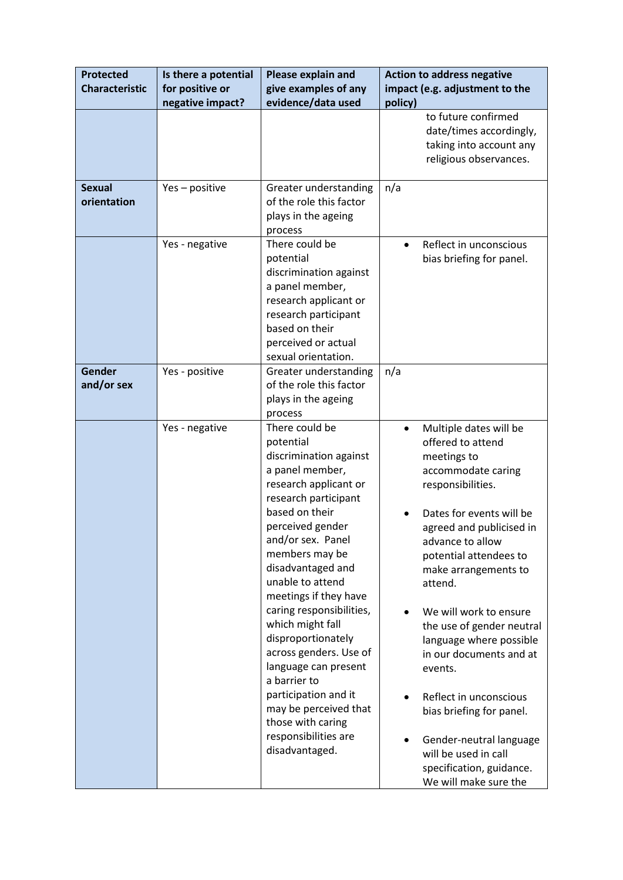| <b>Protected</b><br><b>Characteristic</b> | Is there a potential<br>for positive or | Please explain and<br>give examples of any                                                                                                                                                                                                                                                                                                                                                                                                                                                                                       | <b>Action to address negative</b><br>impact (e.g. adjustment to the                                                                                                                                                                                                                                                                                                                                                                                                                                                                               |
|-------------------------------------------|-----------------------------------------|----------------------------------------------------------------------------------------------------------------------------------------------------------------------------------------------------------------------------------------------------------------------------------------------------------------------------------------------------------------------------------------------------------------------------------------------------------------------------------------------------------------------------------|---------------------------------------------------------------------------------------------------------------------------------------------------------------------------------------------------------------------------------------------------------------------------------------------------------------------------------------------------------------------------------------------------------------------------------------------------------------------------------------------------------------------------------------------------|
|                                           | negative impact?                        | evidence/data used                                                                                                                                                                                                                                                                                                                                                                                                                                                                                                               | policy)                                                                                                                                                                                                                                                                                                                                                                                                                                                                                                                                           |
|                                           |                                         |                                                                                                                                                                                                                                                                                                                                                                                                                                                                                                                                  | to future confirmed<br>date/times accordingly,<br>taking into account any<br>religious observances.                                                                                                                                                                                                                                                                                                                                                                                                                                               |
| <b>Sexual</b><br>orientation              | Yes - positive                          | Greater understanding<br>of the role this factor<br>plays in the ageing<br>process                                                                                                                                                                                                                                                                                                                                                                                                                                               | n/a                                                                                                                                                                                                                                                                                                                                                                                                                                                                                                                                               |
|                                           | Yes - negative                          | There could be<br>potential<br>discrimination against<br>a panel member,<br>research applicant or<br>research participant<br>based on their<br>perceived or actual<br>sexual orientation.                                                                                                                                                                                                                                                                                                                                        | Reflect in unconscious<br>$\bullet$<br>bias briefing for panel.                                                                                                                                                                                                                                                                                                                                                                                                                                                                                   |
| <b>Gender</b><br>and/or sex               | Yes - positive                          | Greater understanding<br>of the role this factor<br>plays in the ageing<br>process                                                                                                                                                                                                                                                                                                                                                                                                                                               | n/a                                                                                                                                                                                                                                                                                                                                                                                                                                                                                                                                               |
|                                           | Yes - negative                          | There could be<br>potential<br>discrimination against<br>a panel member,<br>research applicant or<br>research participant<br>based on their<br>perceived gender<br>and/or sex. Panel<br>members may be<br>disadvantaged and<br>unable to attend<br>meetings if they have<br>caring responsibilities,<br>which might fall<br>disproportionately<br>across genders. Use of<br>language can present<br>a barrier to<br>participation and it<br>may be perceived that<br>those with caring<br>responsibilities are<br>disadvantaged. | Multiple dates will be<br>$\bullet$<br>offered to attend<br>meetings to<br>accommodate caring<br>responsibilities.<br>Dates for events will be<br>agreed and publicised in<br>advance to allow<br>potential attendees to<br>make arrangements to<br>attend.<br>We will work to ensure<br>the use of gender neutral<br>language where possible<br>in our documents and at<br>events.<br>Reflect in unconscious<br>bias briefing for panel.<br>Gender-neutral language<br>will be used in call<br>specification, guidance.<br>We will make sure the |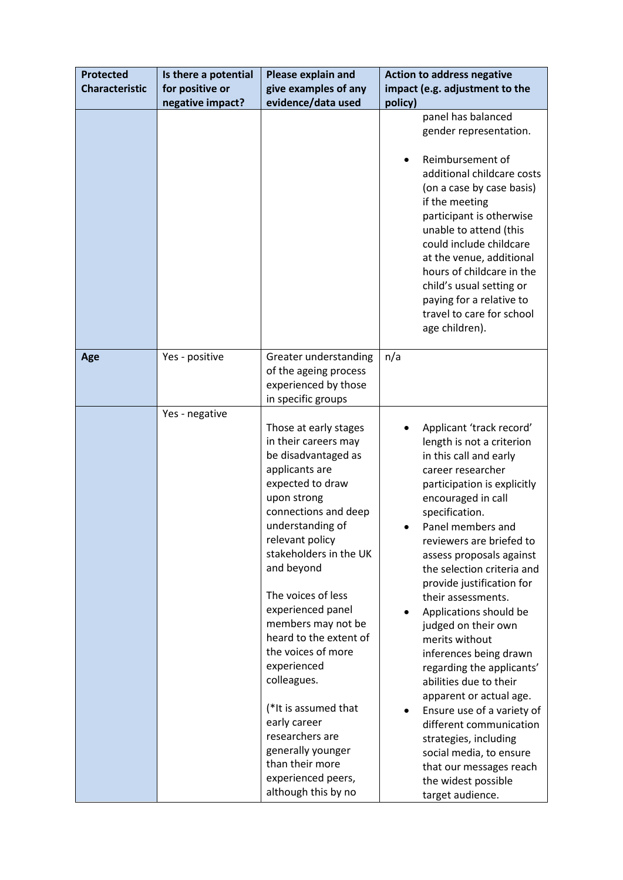| <b>Protected</b>      | Is there a potential | Please explain and                                                                                                                                                                                                                                                                                                                                                                                                                                                                                                              | <b>Action to address negative</b>                                                                                                                                                                                                                                                                                                                                                                                                                                                                                                                                                                                                                                                                           |
|-----------------------|----------------------|---------------------------------------------------------------------------------------------------------------------------------------------------------------------------------------------------------------------------------------------------------------------------------------------------------------------------------------------------------------------------------------------------------------------------------------------------------------------------------------------------------------------------------|-------------------------------------------------------------------------------------------------------------------------------------------------------------------------------------------------------------------------------------------------------------------------------------------------------------------------------------------------------------------------------------------------------------------------------------------------------------------------------------------------------------------------------------------------------------------------------------------------------------------------------------------------------------------------------------------------------------|
| <b>Characteristic</b> | for positive or      | give examples of any                                                                                                                                                                                                                                                                                                                                                                                                                                                                                                            | impact (e.g. adjustment to the                                                                                                                                                                                                                                                                                                                                                                                                                                                                                                                                                                                                                                                                              |
|                       | negative impact?     | evidence/data used                                                                                                                                                                                                                                                                                                                                                                                                                                                                                                              | policy)                                                                                                                                                                                                                                                                                                                                                                                                                                                                                                                                                                                                                                                                                                     |
|                       |                      |                                                                                                                                                                                                                                                                                                                                                                                                                                                                                                                                 | panel has balanced<br>gender representation.<br>Reimbursement of<br>additional childcare costs<br>(on a case by case basis)<br>if the meeting<br>participant is otherwise<br>unable to attend (this<br>could include childcare<br>at the venue, additional<br>hours of childcare in the<br>child's usual setting or<br>paying for a relative to<br>travel to care for school                                                                                                                                                                                                                                                                                                                                |
| Age                   | Yes - positive       | Greater understanding                                                                                                                                                                                                                                                                                                                                                                                                                                                                                                           | age children).<br>n/a                                                                                                                                                                                                                                                                                                                                                                                                                                                                                                                                                                                                                                                                                       |
|                       |                      | of the ageing process<br>experienced by those<br>in specific groups                                                                                                                                                                                                                                                                                                                                                                                                                                                             |                                                                                                                                                                                                                                                                                                                                                                                                                                                                                                                                                                                                                                                                                                             |
|                       | Yes - negative       | Those at early stages<br>in their careers may<br>be disadvantaged as<br>applicants are<br>expected to draw<br>upon strong<br>connections and deep<br>understanding of<br>relevant policy<br>stakeholders in the UK<br>and beyond<br>The voices of less<br>experienced panel<br>members may not be<br>heard to the extent of<br>the voices of more<br>experienced<br>colleagues.<br>(*It is assumed that<br>early career<br>researchers are<br>generally younger<br>than their more<br>experienced peers,<br>although this by no | Applicant 'track record'<br>length is not a criterion<br>in this call and early<br>career researcher<br>participation is explicitly<br>encouraged in call<br>specification.<br>Panel members and<br>reviewers are briefed to<br>assess proposals against<br>the selection criteria and<br>provide justification for<br>their assessments.<br>Applications should be<br>judged on their own<br>merits without<br>inferences being drawn<br>regarding the applicants'<br>abilities due to their<br>apparent or actual age.<br>Ensure use of a variety of<br>different communication<br>strategies, including<br>social media, to ensure<br>that our messages reach<br>the widest possible<br>target audience. |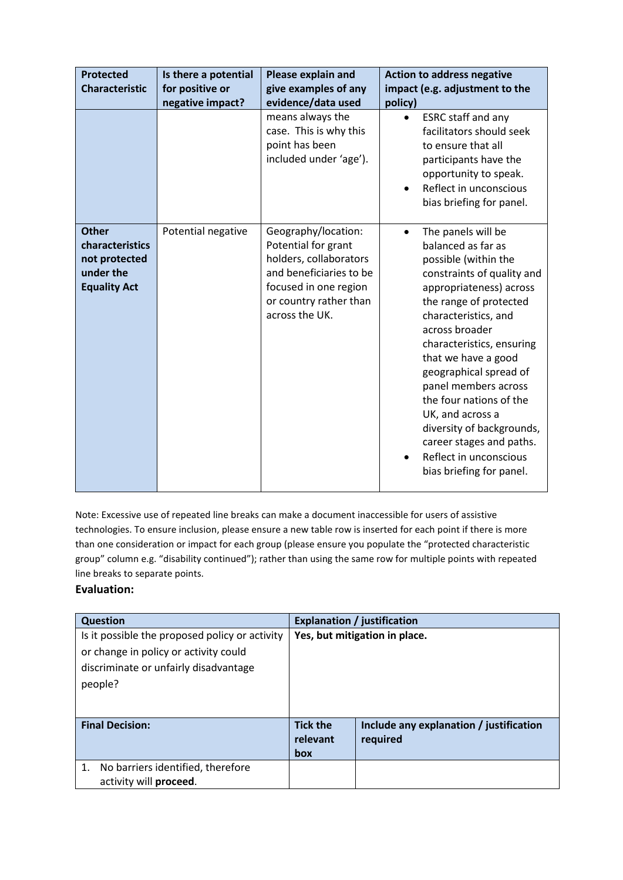| <b>Protected</b><br><b>Characteristic</b>                                            | Is there a potential<br>for positive or<br>negative impact? | <b>Please explain and</b><br>give examples of any<br>evidence/data used                                                                                              | <b>Action to address negative</b><br>impact (e.g. adjustment to the<br>policy)                                                                                                                                                                                                                                                                                                                                                                                                 |
|--------------------------------------------------------------------------------------|-------------------------------------------------------------|----------------------------------------------------------------------------------------------------------------------------------------------------------------------|--------------------------------------------------------------------------------------------------------------------------------------------------------------------------------------------------------------------------------------------------------------------------------------------------------------------------------------------------------------------------------------------------------------------------------------------------------------------------------|
|                                                                                      |                                                             | means always the<br>case. This is why this<br>point has been<br>included under 'age').                                                                               | ESRC staff and any<br>$\bullet$<br>facilitators should seek<br>to ensure that all<br>participants have the<br>opportunity to speak.<br>Reflect in unconscious<br>bias briefing for panel.                                                                                                                                                                                                                                                                                      |
| <b>Other</b><br>characteristics<br>not protected<br>under the<br><b>Equality Act</b> | Potential negative                                          | Geography/location:<br>Potential for grant<br>holders, collaborators<br>and beneficiaries to be<br>focused in one region<br>or country rather than<br>across the UK. | The panels will be<br>$\bullet$<br>balanced as far as<br>possible (within the<br>constraints of quality and<br>appropriateness) across<br>the range of protected<br>characteristics, and<br>across broader<br>characteristics, ensuring<br>that we have a good<br>geographical spread of<br>panel members across<br>the four nations of the<br>UK, and across a<br>diversity of backgrounds,<br>career stages and paths.<br>Reflect in unconscious<br>bias briefing for panel. |

Note: Excessive use of repeated line breaks can make a document inaccessible for users of assistive technologies. To ensure inclusion, please ensure a new table row is inserted for each point if there is more than one consideration or impact for each group (please ensure you populate the "protected characteristic group" column e.g. "disability continued"); rather than using the same row for multiple points with repeated line breaks to separate points.

#### **Evaluation:**

| <b>Question</b>                                |                               | <b>Explanation / justification</b>      |
|------------------------------------------------|-------------------------------|-----------------------------------------|
| Is it possible the proposed policy or activity | Yes, but mitigation in place. |                                         |
| or change in policy or activity could          |                               |                                         |
| discriminate or unfairly disadvantage          |                               |                                         |
| people?                                        |                               |                                         |
|                                                |                               |                                         |
|                                                |                               |                                         |
| <b>Final Decision:</b>                         | <b>Tick the</b>               | Include any explanation / justification |
|                                                | relevant                      | required                                |
|                                                | box                           |                                         |
| No barriers identified, therefore              |                               |                                         |
| activity will proceed.                         |                               |                                         |